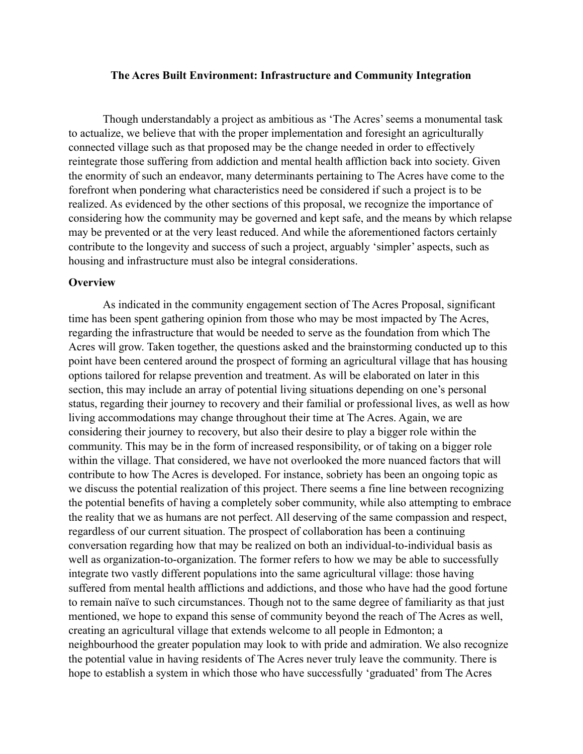### **The Acres Built Environment: Infrastructure and Community Integration**

Though understandably a project as ambitious as 'The Acres' seems a monumental task to actualize, we believe that with the proper implementation and foresight an agriculturally connected village such as that proposed may be the change needed in order to effectively reintegrate those suffering from addiction and mental health affliction back into society. Given the enormity of such an endeavor, many determinants pertaining to The Acres have come to the forefront when pondering what characteristics need be considered if such a project is to be realized. As evidenced by the other sections of this proposal, we recognize the importance of considering how the community may be governed and kept safe, and the means by which relapse may be prevented or at the very least reduced. And while the aforementioned factors certainly contribute to the longevity and success of such a project, arguably 'simpler' aspects, such as housing and infrastructure must also be integral considerations.

## **Overview**

As indicated in the community engagement section of The Acres Proposal, significant time has been spent gathering opinion from those who may be most impacted by The Acres, regarding the infrastructure that would be needed to serve as the foundation from which The Acres will grow. Taken together, the questions asked and the brainstorming conducted up to this point have been centered around the prospect of forming an agricultural village that has housing options tailored for relapse prevention and treatment. As will be elaborated on later in this section, this may include an array of potential living situations depending on one's personal status, regarding their journey to recovery and their familial or professional lives, as well as how living accommodations may change throughout their time at The Acres. Again, we are considering their journey to recovery, but also their desire to play a bigger role within the community. This may be in the form of increased responsibility, or of taking on a bigger role within the village. That considered, we have not overlooked the more nuanced factors that will contribute to how The Acres is developed. For instance, sobriety has been an ongoing topic as we discuss the potential realization of this project. There seems a fine line between recognizing the potential benefits of having a completely sober community, while also attempting to embrace the reality that we as humans are not perfect. All deserving of the same compassion and respect, regardless of our current situation. The prospect of collaboration has been a continuing conversation regarding how that may be realized on both an individual-to-individual basis as well as organization-to-organization. The former refers to how we may be able to successfully integrate two vastly different populations into the same agricultural village: those having suffered from mental health afflictions and addictions, and those who have had the good fortune to remain naïve to such circumstances. Though not to the same degree of familiarity as that just mentioned, we hope to expand this sense of community beyond the reach of The Acres as well, creating an agricultural village that extends welcome to all people in Edmonton; a neighbourhood the greater population may look to with pride and admiration. We also recognize the potential value in having residents of The Acres never truly leave the community. There is hope to establish a system in which those who have successfully 'graduated' from The Acres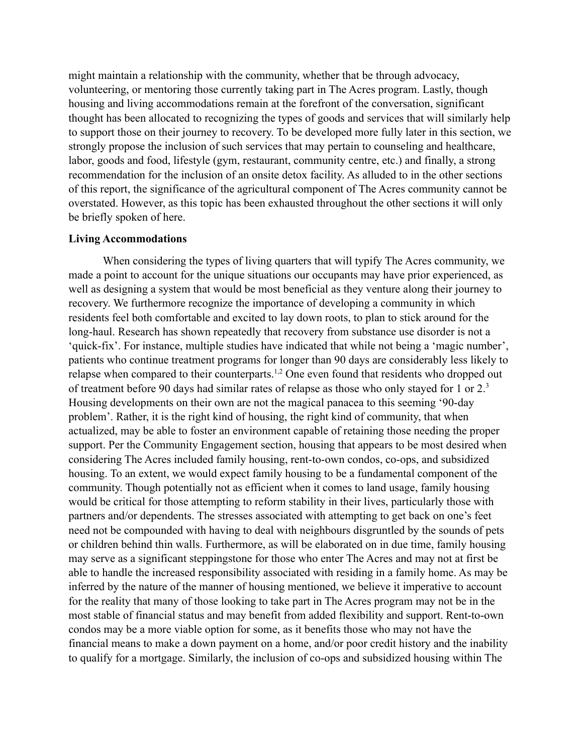might maintain a relationship with the community, whether that be through advocacy, volunteering, or mentoring those currently taking part in The Acres program. Lastly, though housing and living accommodations remain at the forefront of the conversation, significant thought has been allocated to recognizing the types of goods and services that will similarly help to support those on their journey to recovery. To be developed more fully later in this section, we strongly propose the inclusion of such services that may pertain to counseling and healthcare, labor, goods and food, lifestyle (gym, restaurant, community centre, etc.) and finally, a strong recommendation for the inclusion of an onsite detox facility. As alluded to in the other sections of this report, the significance of the agricultural component of The Acres community cannot be overstated. However, as this topic has been exhausted throughout the other sections it will only be briefly spoken of here.

### **Living Accommodations**

When considering the types of living quarters that will typify The Acres community, we made a point to account for the unique situations our occupants may have prior experienced, as well as designing a system that would be most beneficial as they venture along their journey to recovery. We furthermore recognize the importance of developing a community in which residents feel both comfortable and excited to lay down roots, to plan to stick around for the long-haul. Research has shown repeatedly that recovery from substance use disorder is not a 'quick-fix'. For instance, multiple studies have indicated that while not being a 'magic number', patients who continue treatment programs for longer than 90 days are considerably less likely to relapse when compared to their counterparts.<sup>1,2</sup> One even found that residents who dropped out of treatment before 90 days had similar rates of relapse as those who only stayed for 1 or 2.<sup>3</sup> Housing developments on their own are not the magical panacea to this seeming '90-day problem'. Rather, it is the right kind of housing, the right kind of community, that when actualized, may be able to foster an environment capable of retaining those needing the proper support. Per the Community Engagement section, housing that appears to be most desired when considering The Acres included family housing, rent-to-own condos, co-ops, and subsidized housing. To an extent, we would expect family housing to be a fundamental component of the community. Though potentially not as efficient when it comes to land usage, family housing would be critical for those attempting to reform stability in their lives, particularly those with partners and/or dependents. The stresses associated with attempting to get back on one's feet need not be compounded with having to deal with neighbours disgruntled by the sounds of pets or children behind thin walls. Furthermore, as will be elaborated on in due time, family housing may serve as a significant steppingstone for those who enter The Acres and may not at first be able to handle the increased responsibility associated with residing in a family home. As may be inferred by the nature of the manner of housing mentioned, we believe it imperative to account for the reality that many of those looking to take part in The Acres program may not be in the most stable of financial status and may benefit from added flexibility and support. Rent-to-own condos may be a more viable option for some, as it benefits those who may not have the financial means to make a down payment on a home, and/or poor credit history and the inability to qualify for a mortgage. Similarly, the inclusion of co-ops and subsidized housing within The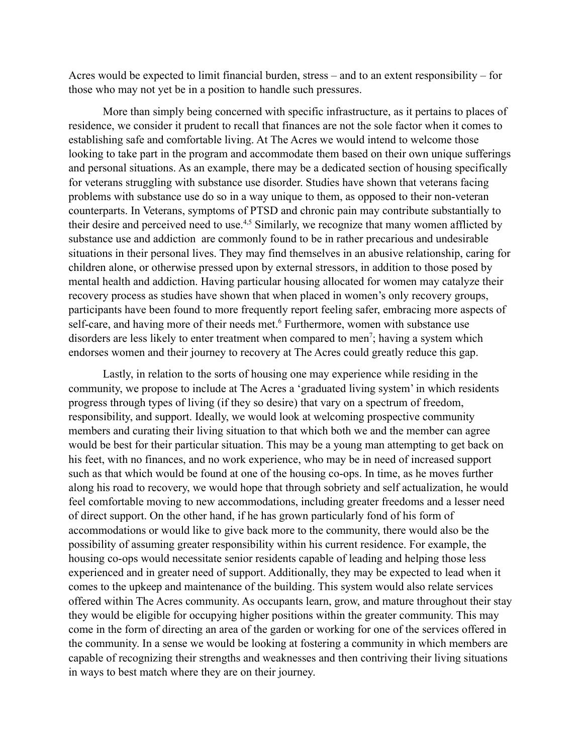Acres would be expected to limit financial burden, stress – and to an extent responsibility – for those who may not yet be in a position to handle such pressures.

More than simply being concerned with specific infrastructure, as it pertains to places of residence, we consider it prudent to recall that finances are not the sole factor when it comes to establishing safe and comfortable living. At The Acres we would intend to welcome those looking to take part in the program and accommodate them based on their own unique sufferings and personal situations. As an example, there may be a dedicated section of housing specifically for veterans struggling with substance use disorder. Studies have shown that veterans facing problems with substance use do so in a way unique to them, as opposed to their non-veteran counterparts. In Veterans, symptoms of PTSD and chronic pain may contribute substantially to their desire and perceived need to use.<sup>4,5</sup> Similarly, we recognize that many women afflicted by substance use and addiction are commonly found to be in rather precarious and undesirable situations in their personal lives. They may find themselves in an abusive relationship, caring for children alone, or otherwise pressed upon by external stressors, in addition to those posed by mental health and addiction. Having particular housing allocated for women may catalyze their recovery process as studies have shown that when placed in women's only recovery groups, participants have been found to more frequently report feeling safer, embracing more aspects of self-care, and having more of their needs met.<sup>6</sup> Furthermore, women with substance use disorders are less likely to enter treatment when compared to men<sup>7</sup>; having a system which endorses women and their journey to recovery at The Acres could greatly reduce this gap.

Lastly, in relation to the sorts of housing one may experience while residing in the community, we propose to include at The Acres a 'graduated living system' in which residents progress through types of living (if they so desire) that vary on a spectrum of freedom, responsibility, and support. Ideally, we would look at welcoming prospective community members and curating their living situation to that which both we and the member can agree would be best for their particular situation. This may be a young man attempting to get back on his feet, with no finances, and no work experience, who may be in need of increased support such as that which would be found at one of the housing co-ops. In time, as he moves further along his road to recovery, we would hope that through sobriety and self actualization, he would feel comfortable moving to new accommodations, including greater freedoms and a lesser need of direct support. On the other hand, if he has grown particularly fond of his form of accommodations or would like to give back more to the community, there would also be the possibility of assuming greater responsibility within his current residence. For example, the housing co-ops would necessitate senior residents capable of leading and helping those less experienced and in greater need of support. Additionally, they may be expected to lead when it comes to the upkeep and maintenance of the building. This system would also relate services offered within The Acres community. As occupants learn, grow, and mature throughout their stay they would be eligible for occupying higher positions within the greater community. This may come in the form of directing an area of the garden or working for one of the services offered in the community. In a sense we would be looking at fostering a community in which members are capable of recognizing their strengths and weaknesses and then contriving their living situations in ways to best match where they are on their journey.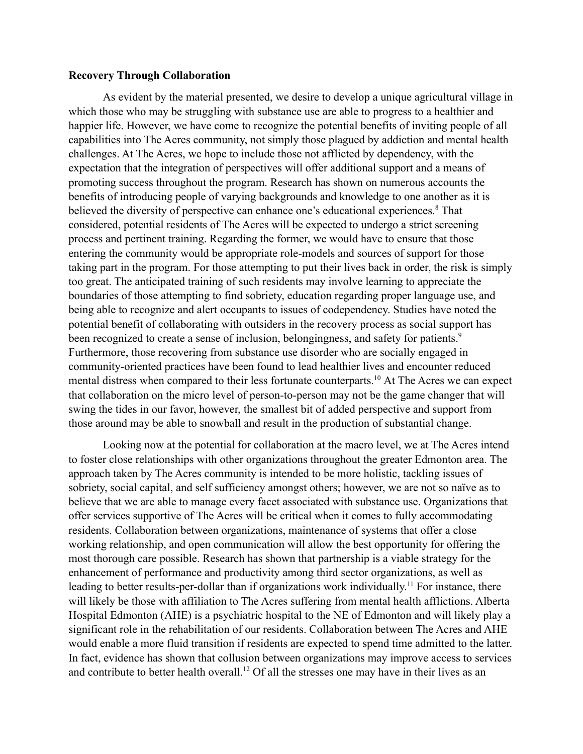## **Recovery Through Collaboration**

As evident by the material presented, we desire to develop a unique agricultural village in which those who may be struggling with substance use are able to progress to a healthier and happier life. However, we have come to recognize the potential benefits of inviting people of all capabilities into The Acres community, not simply those plagued by addiction and mental health challenges. At The Acres, we hope to include those not afflicted by dependency, with the expectation that the integration of perspectives will offer additional support and a means of promoting success throughout the program. Research has shown on numerous accounts the benefits of introducing people of varying backgrounds and knowledge to one another as it is believed the diversity of perspective can enhance one's educational experiences.<sup>8</sup> That considered, potential residents of The Acres will be expected to undergo a strict screening process and pertinent training. Regarding the former, we would have to ensure that those entering the community would be appropriate role-models and sources of support for those taking part in the program. For those attempting to put their lives back in order, the risk is simply too great. The anticipated training of such residents may involve learning to appreciate the boundaries of those attempting to find sobriety, education regarding proper language use, and being able to recognize and alert occupants to issues of codependency. Studies have noted the potential benefit of collaborating with outsiders in the recovery process as social support has been recognized to create a sense of inclusion, belongingness, and safety for patients.<sup>9</sup> Furthermore, those recovering from substance use disorder who are socially engaged in community-oriented practices have been found to lead healthier lives and encounter reduced mental distress when compared to their less fortunate counterparts.<sup>10</sup> At The Acres we can expect that collaboration on the micro level of person-to-person may not be the game changer that will swing the tides in our favor, however, the smallest bit of added perspective and support from those around may be able to snowball and result in the production of substantial change.

Looking now at the potential for collaboration at the macro level, we at The Acres intend to foster close relationships with other organizations throughout the greater Edmonton area. The approach taken by The Acres community is intended to be more holistic, tackling issues of sobriety, social capital, and self sufficiency amongst others; however, we are not so naïve as to believe that we are able to manage every facet associated with substance use. Organizations that offer services supportive of The Acres will be critical when it comes to fully accommodating residents. Collaboration between organizations, maintenance of systems that offer a close working relationship, and open communication will allow the best opportunity for offering the most thorough care possible. Research has shown that partnership is a viable strategy for the enhancement of performance and productivity among third sector organizations, as well as leading to better results-per-dollar than if organizations work individually.<sup>11</sup> For instance, there will likely be those with affiliation to The Acres suffering from mental health afflictions. Alberta Hospital Edmonton (AHE) is a psychiatric hospital to the NE of Edmonton and will likely play a significant role in the rehabilitation of our residents. Collaboration between The Acres and AHE would enable a more fluid transition if residents are expected to spend time admitted to the latter. In fact, evidence has shown that collusion between organizations may improve access to services and contribute to better health overall.<sup>12</sup> Of all the stresses one may have in their lives as an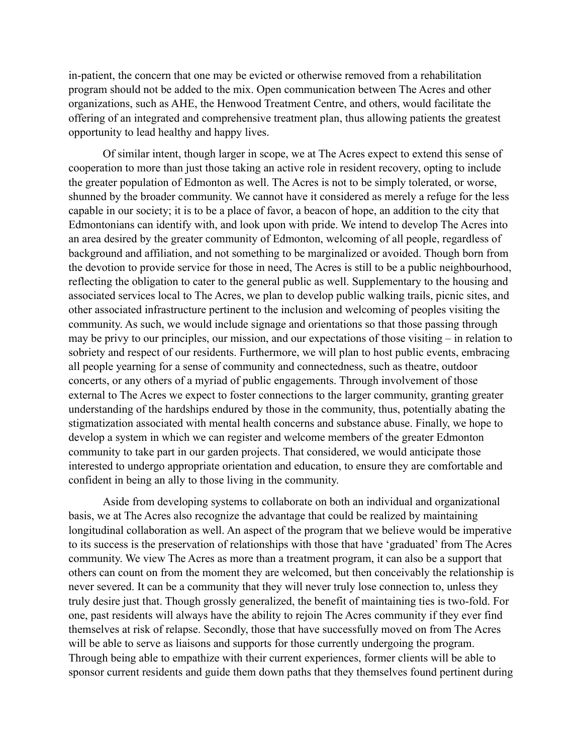in-patient, the concern that one may be evicted or otherwise removed from a rehabilitation program should not be added to the mix. Open communication between The Acres and other organizations, such as AHE, the Henwood Treatment Centre, and others, would facilitate the offering of an integrated and comprehensive treatment plan, thus allowing patients the greatest opportunity to lead healthy and happy lives.

Of similar intent, though larger in scope, we at The Acres expect to extend this sense of cooperation to more than just those taking an active role in resident recovery, opting to include the greater population of Edmonton as well. The Acres is not to be simply tolerated, or worse, shunned by the broader community. We cannot have it considered as merely a refuge for the less capable in our society; it is to be a place of favor, a beacon of hope, an addition to the city that Edmontonians can identify with, and look upon with pride. We intend to develop The Acres into an area desired by the greater community of Edmonton, welcoming of all people, regardless of background and affiliation, and not something to be marginalized or avoided. Though born from the devotion to provide service for those in need, The Acres is still to be a public neighbourhood, reflecting the obligation to cater to the general public as well. Supplementary to the housing and associated services local to The Acres, we plan to develop public walking trails, picnic sites, and other associated infrastructure pertinent to the inclusion and welcoming of peoples visiting the community. As such, we would include signage and orientations so that those passing through may be privy to our principles, our mission, and our expectations of those visiting – in relation to sobriety and respect of our residents. Furthermore, we will plan to host public events, embracing all people yearning for a sense of community and connectedness, such as theatre, outdoor concerts, or any others of a myriad of public engagements. Through involvement of those external to The Acres we expect to foster connections to the larger community, granting greater understanding of the hardships endured by those in the community, thus, potentially abating the stigmatization associated with mental health concerns and substance abuse. Finally, we hope to develop a system in which we can register and welcome members of the greater Edmonton community to take part in our garden projects. That considered, we would anticipate those interested to undergo appropriate orientation and education, to ensure they are comfortable and confident in being an ally to those living in the community.

Aside from developing systems to collaborate on both an individual and organizational basis, we at The Acres also recognize the advantage that could be realized by maintaining longitudinal collaboration as well. An aspect of the program that we believe would be imperative to its success is the preservation of relationships with those that have 'graduated' from The Acres community. We view The Acres as more than a treatment program, it can also be a support that others can count on from the moment they are welcomed, but then conceivably the relationship is never severed. It can be a community that they will never truly lose connection to, unless they truly desire just that. Though grossly generalized, the benefit of maintaining ties is two-fold. For one, past residents will always have the ability to rejoin The Acres community if they ever find themselves at risk of relapse. Secondly, those that have successfully moved on from The Acres will be able to serve as liaisons and supports for those currently undergoing the program. Through being able to empathize with their current experiences, former clients will be able to sponsor current residents and guide them down paths that they themselves found pertinent during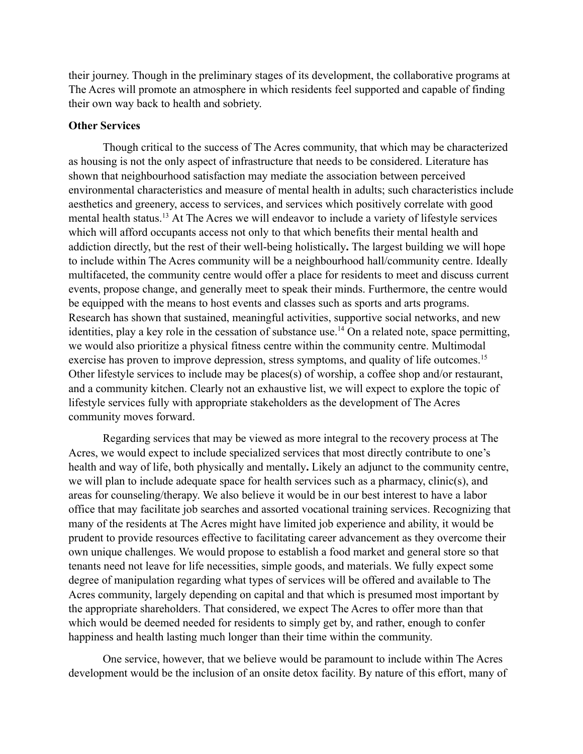their journey. Though in the preliminary stages of its development, the collaborative programs at The Acres will promote an atmosphere in which residents feel supported and capable of finding their own way back to health and sobriety.

## **Other Services**

Though critical to the success of The Acres community, that which may be characterized as housing is not the only aspect of infrastructure that needs to be considered. Literature has shown that neighbourhood satisfaction may mediate the association between perceived environmental characteristics and measure of mental health in adults; such characteristics include aesthetics and greenery, access to services, and services which positively correlate with good mental health status.<sup>13</sup> At The Acres we will endeavor to include a variety of lifestyle services which will afford occupants access not only to that which benefits their mental health and addiction directly, but the rest of their well-being holistically**.** The largest building we will hope to include within The Acres community will be a neighbourhood hall/community centre. Ideally multifaceted, the community centre would offer a place for residents to meet and discuss current events, propose change, and generally meet to speak their minds. Furthermore, the centre would be equipped with the means to host events and classes such as sports and arts programs. Research has shown that sustained, meaningful activities, supportive social networks, and new identities, play a key role in the cessation of substance use.<sup>14</sup> On a related note, space permitting, we would also prioritize a physical fitness centre within the community centre. Multimodal exercise has proven to improve depression, stress symptoms, and quality of life outcomes.<sup>15</sup> Other lifestyle services to include may be places(s) of worship, a coffee shop and/or restaurant, and a community kitchen. Clearly not an exhaustive list, we will expect to explore the topic of lifestyle services fully with appropriate stakeholders as the development of The Acres community moves forward.

Regarding services that may be viewed as more integral to the recovery process at The Acres, we would expect to include specialized services that most directly contribute to one's health and way of life, both physically and mentally**.** Likely an adjunct to the community centre, we will plan to include adequate space for health services such as a pharmacy, clinic(s), and areas for counseling/therapy. We also believe it would be in our best interest to have a labor office that may facilitate job searches and assorted vocational training services. Recognizing that many of the residents at The Acres might have limited job experience and ability, it would be prudent to provide resources effective to facilitating career advancement as they overcome their own unique challenges. We would propose to establish a food market and general store so that tenants need not leave for life necessities, simple goods, and materials. We fully expect some degree of manipulation regarding what types of services will be offered and available to The Acres community, largely depending on capital and that which is presumed most important by the appropriate shareholders. That considered, we expect The Acres to offer more than that which would be deemed needed for residents to simply get by, and rather, enough to confer happiness and health lasting much longer than their time within the community.

One service, however, that we believe would be paramount to include within The Acres development would be the inclusion of an onsite detox facility. By nature of this effort, many of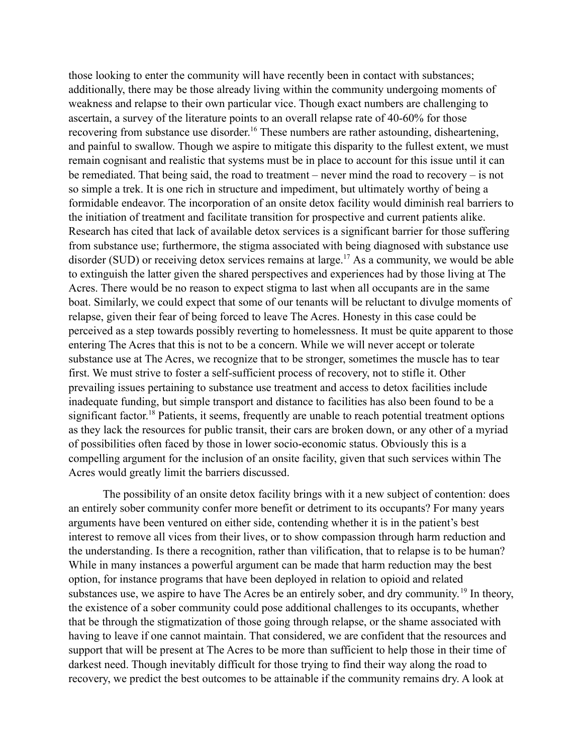those looking to enter the community will have recently been in contact with substances; additionally, there may be those already living within the community undergoing moments of weakness and relapse to their own particular vice. Though exact numbers are challenging to ascertain, a survey of the literature points to an overall relapse rate of 40-60% for those recovering from substance use disorder.<sup>16</sup> These numbers are rather astounding, disheartening, and painful to swallow. Though we aspire to mitigate this disparity to the fullest extent, we must remain cognisant and realistic that systems must be in place to account for this issue until it can be remediated. That being said, the road to treatment – never mind the road to recovery – is not so simple a trek. It is one rich in structure and impediment, but ultimately worthy of being a formidable endeavor. The incorporation of an onsite detox facility would diminish real barriers to the initiation of treatment and facilitate transition for prospective and current patients alike. Research has cited that lack of available detox services is a significant barrier for those suffering from substance use; furthermore, the stigma associated with being diagnosed with substance use disorder (SUD) or receiving detox services remains at large.<sup>17</sup> As a community, we would be able to extinguish the latter given the shared perspectives and experiences had by those living at The Acres. There would be no reason to expect stigma to last when all occupants are in the same boat. Similarly, we could expect that some of our tenants will be reluctant to divulge moments of relapse, given their fear of being forced to leave The Acres. Honesty in this case could be perceived as a step towards possibly reverting to homelessness. It must be quite apparent to those entering The Acres that this is not to be a concern. While we will never accept or tolerate substance use at The Acres, we recognize that to be stronger, sometimes the muscle has to tear first. We must strive to foster a self-sufficient process of recovery, not to stifle it. Other prevailing issues pertaining to substance use treatment and access to detox facilities include inadequate funding, but simple transport and distance to facilities has also been found to be a significant factor.<sup>18</sup> Patients, it seems, frequently are unable to reach potential treatment options as they lack the resources for public transit, their cars are broken down, or any other of a myriad of possibilities often faced by those in lower socio-economic status. Obviously this is a compelling argument for the inclusion of an onsite facility, given that such services within The Acres would greatly limit the barriers discussed.

The possibility of an onsite detox facility brings with it a new subject of contention: does an entirely sober community confer more benefit or detriment to its occupants? For many years arguments have been ventured on either side, contending whether it is in the patient's best interest to remove all vices from their lives, or to show compassion through harm reduction and the understanding. Is there a recognition, rather than vilification, that to relapse is to be human? While in many instances a powerful argument can be made that harm reduction may the best option, for instance programs that have been deployed in relation to opioid and related substances use, we aspire to have The Acres be an entirely sober, and dry community.<sup>19</sup> In theory, the existence of a sober community could pose additional challenges to its occupants, whether that be through the stigmatization of those going through relapse, or the shame associated with having to leave if one cannot maintain. That considered, we are confident that the resources and support that will be present at The Acres to be more than sufficient to help those in their time of darkest need. Though inevitably difficult for those trying to find their way along the road to recovery, we predict the best outcomes to be attainable if the community remains dry. A look at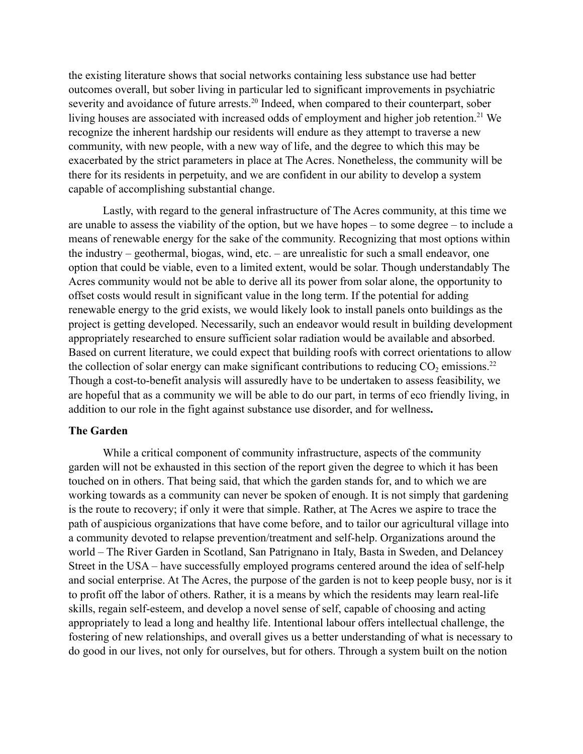the existing literature shows that social networks containing less substance use had better outcomes overall, but sober living in particular led to significant improvements in psychiatric severity and avoidance of future arrests.<sup>20</sup> Indeed, when compared to their counterpart, sober living houses are associated with increased odds of employment and higher job retention.<sup>21</sup> We recognize the inherent hardship our residents will endure as they attempt to traverse a new community, with new people, with a new way of life, and the degree to which this may be exacerbated by the strict parameters in place at The Acres. Nonetheless, the community will be there for its residents in perpetuity, and we are confident in our ability to develop a system capable of accomplishing substantial change.

Lastly, with regard to the general infrastructure of The Acres community, at this time we are unable to assess the viability of the option, but we have hopes – to some degree – to include a means of renewable energy for the sake of the community. Recognizing that most options within the industry – geothermal, biogas, wind, etc. – are unrealistic for such a small endeavor, one option that could be viable, even to a limited extent, would be solar. Though understandably The Acres community would not be able to derive all its power from solar alone, the opportunity to offset costs would result in significant value in the long term. If the potential for adding renewable energy to the grid exists, we would likely look to install panels onto buildings as the project is getting developed. Necessarily, such an endeavor would result in building development appropriately researched to ensure sufficient solar radiation would be available and absorbed. Based on current literature, we could expect that building roofs with correct orientations to allow the collection of solar energy can make significant contributions to reducing  $CO<sub>2</sub>$  emissions.<sup>22</sup> Though a cost-to-benefit analysis will assuredly have to be undertaken to assess feasibility, we are hopeful that as a community we will be able to do our part, in terms of eco friendly living, in addition to our role in the fight against substance use disorder, and for wellness**.**

# **The Garden**

While a critical component of community infrastructure, aspects of the community garden will not be exhausted in this section of the report given the degree to which it has been touched on in others. That being said, that which the garden stands for, and to which we are working towards as a community can never be spoken of enough. It is not simply that gardening is the route to recovery; if only it were that simple. Rather, at The Acres we aspire to trace the path of auspicious organizations that have come before, and to tailor our agricultural village into a community devoted to relapse prevention/treatment and self-help. Organizations around the world – The River Garden in Scotland, San Patrignano in Italy, Basta in Sweden, and Delancey Street in the USA – have successfully employed programs centered around the idea of self-help and social enterprise. At The Acres, the purpose of the garden is not to keep people busy, nor is it to profit off the labor of others. Rather, it is a means by which the residents may learn real-life skills, regain self-esteem, and develop a novel sense of self, capable of choosing and acting appropriately to lead a long and healthy life. Intentional labour offers intellectual challenge, the fostering of new relationships, and overall gives us a better understanding of what is necessary to do good in our lives, not only for ourselves, but for others. Through a system built on the notion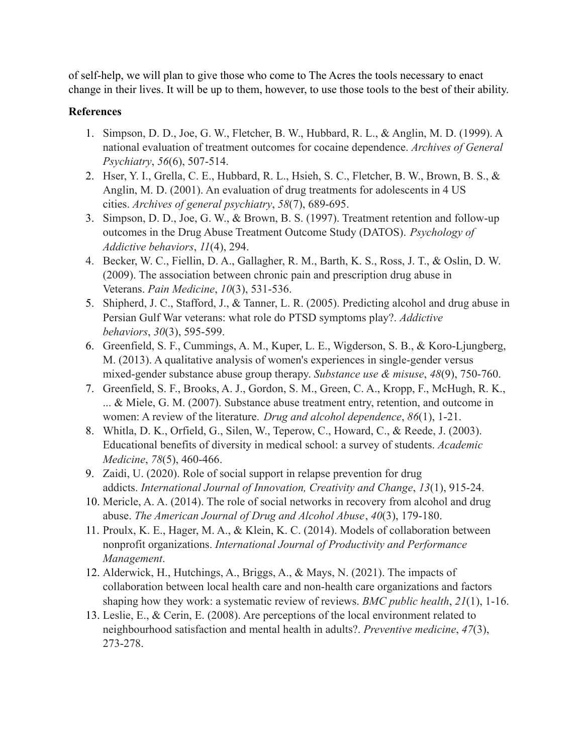of self-help, we will plan to give those who come to The Acres the tools necessary to enact change in their lives. It will be up to them, however, to use those tools to the best of their ability.

# **References**

- 1. Simpson, D. D., Joe, G. W., Fletcher, B. W., Hubbard, R. L., & Anglin, M. D. (1999). A national evaluation of treatment outcomes for cocaine dependence. *Archives of General Psychiatry*, *56*(6), 507-514.
- 2. Hser, Y. I., Grella, C. E., Hubbard, R. L., Hsieh, S. C., Fletcher, B. W., Brown, B. S., & Anglin, M. D. (2001). An evaluation of drug treatments for adolescents in 4 US cities. *Archives of general psychiatry*, *58*(7), 689-695.
- 3. Simpson, D. D., Joe, G. W., & Brown, B. S. (1997). Treatment retention and follow-up outcomes in the Drug Abuse Treatment Outcome Study (DATOS). *Psychology of Addictive behaviors*, *11*(4), 294.
- 4. Becker, W. C., Fiellin, D. A., Gallagher, R. M., Barth, K. S., Ross, J. T., & Oslin, D. W. (2009). The association between chronic pain and prescription drug abuse in Veterans. *Pain Medicine*, *10*(3), 531-536.
- 5. Shipherd, J. C., Stafford, J., & Tanner, L. R. (2005). Predicting alcohol and drug abuse in Persian Gulf War veterans: what role do PTSD symptoms play?. *Addictive behaviors*, *30*(3), 595-599.
- 6. Greenfield, S. F., Cummings, A. M., Kuper, L. E., Wigderson, S. B., & Koro-Ljungberg, M. (2013). A qualitative analysis of women's experiences in single-gender versus mixed-gender substance abuse group therapy. *Substance use & misuse*, *48*(9), 750-760.
- 7. Greenfield, S. F., Brooks, A. J., Gordon, S. M., Green, C. A., Kropp, F., McHugh, R. K., ... & Miele, G. M. (2007). Substance abuse treatment entry, retention, and outcome in women: A review of the literature. *Drug and alcohol dependence*, *86*(1), 1-21.
- 8. Whitla, D. K., Orfield, G., Silen, W., Teperow, C., Howard, C., & Reede, J. (2003). Educational benefits of diversity in medical school: a survey of students. *Academic Medicine*, *78*(5), 460-466.
- 9. Zaidi, U. (2020). Role of social support in relapse prevention for drug addicts. *International Journal of Innovation, Creativity and Change*, *13*(1), 915-24.
- 10. Mericle, A. A. (2014). The role of social networks in recovery from alcohol and drug abuse. *The American Journal of Drug and Alcohol Abuse*, *40*(3), 179-180.
- 11. Proulx, K. E., Hager, M. A., & Klein, K. C. (2014). Models of collaboration between nonprofit organizations. *International Journal of Productivity and Performance Management*.
- 12. Alderwick, H., Hutchings, A., Briggs, A., & Mays, N. (2021). The impacts of collaboration between local health care and non-health care organizations and factors shaping how they work: a systematic review of reviews. *BMC public health*, *21*(1), 1-16.
- 13. Leslie, E., & Cerin, E. (2008). Are perceptions of the local environment related to neighbourhood satisfaction and mental health in adults?. *Preventive medicine*, *47*(3), 273-278.